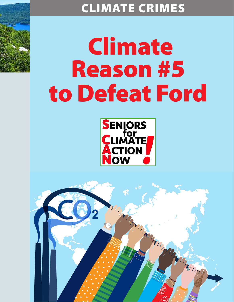## CLIMATE CRIMES

## Climate Reason #5 to Defeat Ford



Marian

Thompson